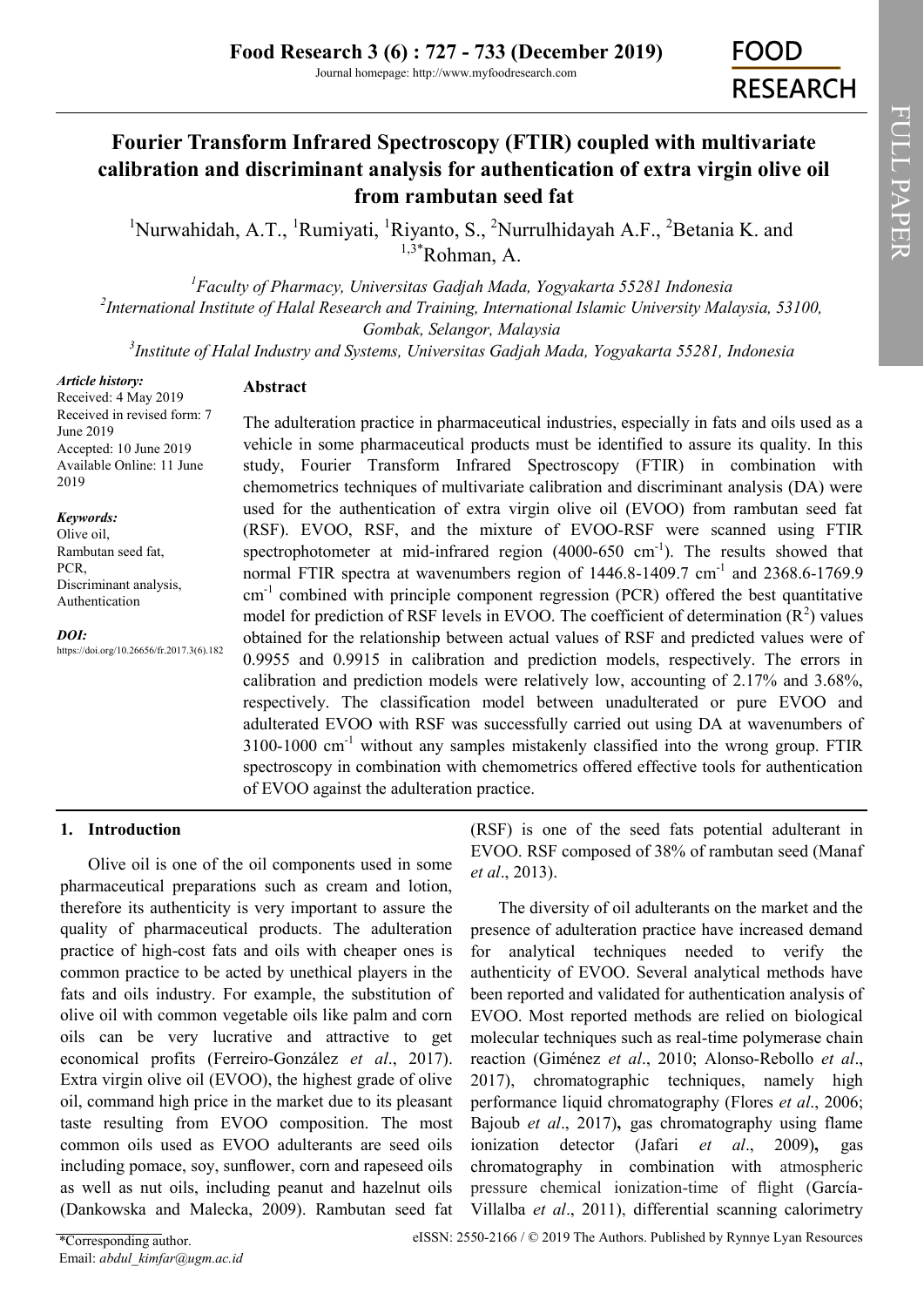# **Fourier Transform Infrared Spectroscopy (FTIR) coupled with multivariate calibration and discriminant analysis for authentication of extra virgin olive oil from rambutan seed fat**

<sup>1</sup>Nurwahidah, A.T., <sup>1</sup>Rumiyati, <sup>1</sup>Riyanto, S., <sup>2</sup>Nurrulhidayah A.F., <sup>2</sup>Betania K. and  $1,3*$ Rohman, A.

*<sup>1</sup>Faculty of Pharmacy, Universitas Gadjah Mada, Yogyakarta 55281 Indonesia 2 International Institute of Halal Research and Training, International Islamic University Malaysia, 53100, Gombak, Selangor, Malaysia*

*3 Institute of Halal Industry and Systems, Universitas Gadjah Mada, Yogyakarta 55281, Indonesia*

*Article history:*

Received: 4 May 2019 Received in revised form: 7 June 2019 Accepted: 10 June 2019 Available Online: 11 June 2019

*Keywords:* Olive oil, Rambutan seed fat, PCR, Discriminant analysis, Authentication

*DOI:* https://doi.org/10.26656/fr.2017.3(6).182 **Abstract**

The adulteration practice in pharmaceutical industries, especially in fats and oils used as a vehicle in some pharmaceutical products must be identified to assure its quality. In this study, Fourier Transform Infrared Spectroscopy (FTIR) in combination with chemometrics techniques of multivariate calibration and discriminant analysis (DA) were used for the authentication of extra virgin olive oil (EVOO) from rambutan seed fat (RSF). EVOO, RSF, and the mixture of EVOO-RSF were scanned using FTIR spectrophotometer at mid-infrared region  $(4000-650 \text{ cm}^{-1})$ . The results showed that normal FTIR spectra at wavenumbers region of  $1446.8$ -1409.7 cm<sup>-1</sup> and  $2368.6$ -1769.9  $cm<sup>-1</sup>$  combined with principle component regression (PCR) offered the best quantitative model for prediction of RSF levels in EVOO. The coefficient of determination  $(R^2)$  values obtained for the relationship between actual values of RSF and predicted values were of 0.9955 and 0.9915 in calibration and prediction models, respectively. The errors in calibration and prediction models were relatively low, accounting of 2.17% and 3.68%, respectively. The classification model between unadulterated or pure EVOO and adulterated EVOO with RSF was successfully carried out using DA at wavenumbers of 3100-1000 cm-<sup>1</sup> without any samples mistakenly classified into the wrong group. FTIR spectroscopy in combination with chemometrics offered effective tools for authentication of EVOO against the adulteration practice.

### **1. Introduction**

Olive oil is one of the oil components used in some pharmaceutical preparations such as cream and lotion, therefore its authenticity is very important to assure the quality of pharmaceutical products. The adulteration practice of high-cost fats and oils with cheaper ones is common practice to be acted by unethical players in the fats and oils industry. For example, the substitution of olive oil with common vegetable oils like palm and corn oils can be very lucrative and attractive to get economical profits (Ferreiro-González *et al*., 2017). Extra virgin olive oil (EVOO), the highest grade of olive oil, command high price in the market due to its pleasant taste resulting from EVOO composition. The most common oils used as EVOO adulterants are seed oils including pomace, soy, sunflower, corn and rapeseed oils as well as nut oils, including peanut and hazelnut oils (Dankowska and Malecka, 2009). Rambutan seed fat

(RSF) is one of the seed fats potential adulterant in EVOO. RSF composed of 38% of rambutan seed (Manaf *et al*., 2013).

The diversity of oil adulterants on the market and the presence of adulteration practice have increased demand for analytical techniques needed to verify the authenticity of EVOO. Several analytical methods have been reported and validated for authentication analysis of EVOO. Most reported methods are relied on biological molecular techniques such as real-time polymerase chain reaction (Giménez *et al*., 2010; Alonso-Rebollo *et al*., 2017), chromatographic techniques, namely high performance liquid chromatography (Flores *et al*., 2006; Bajoub *et al*., 2017)**,** gas chromatography using flame ionization detector (Jafari *et al*., 2009)**,** gas chromatography in combination with atmospheric pressure chemical ionization-time of flight (García-Villalba *et al*., 2011), differential scanning calorimetry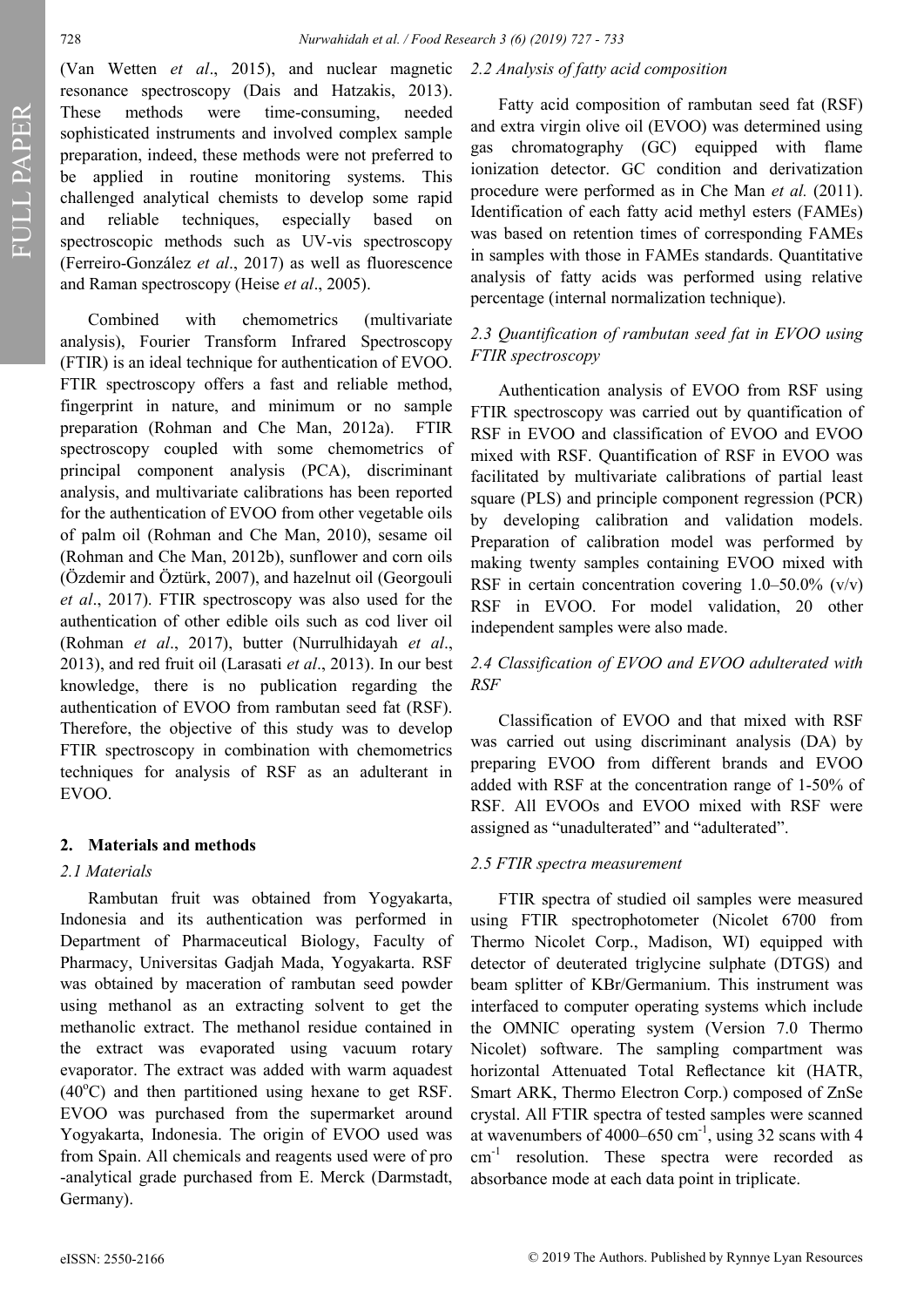FULL PAPER FULL PAPER

(Van Wetten *et al*., 2015), and nuclear magnetic resonance spectroscopy (Dais and Hatzakis, 2013). These methods were time-consuming, needed sophisticated instruments and involved complex sample preparation, indeed, these methods were not preferred to be applied in routine monitoring systems. This challenged analytical chemists to develop some rapid and reliable techniques, especially based on spectroscopic methods such as UV-vis spectroscopy (Ferreiro-González *et al*., 2017) as well as fluorescence and Raman spectroscopy (Heise *et al*., 2005).

Combined with chemometrics (multivariate analysis), Fourier Transform Infrared Spectroscopy (FTIR) is an ideal technique for authentication of EVOO. FTIR spectroscopy offers a fast and reliable method, fingerprint in nature, and minimum or no sample preparation (Rohman and Che Man, 2012a). FTIR spectroscopy coupled with some chemometrics of principal component analysis (PCA), discriminant analysis, and multivariate calibrations has been reported for the authentication of EVOO from other vegetable oils of palm oil (Rohman and Che Man, 2010), sesame oil (Rohman and Che Man, 2012b), sunflower and corn oils (Özdemir and [Öztürk,](http://www.scopus.com/search/submit/author.url?author=%c3%96zt%c3%bcrk%2c+B.&authorId=7006498412&origin=recordpage) 2007), and hazelnut oil (Georgouli *et al*., 2017). FTIR spectroscopy was also used for the authentication of other edible oils such as cod liver oil (Rohman *et al*., 2017), butter (Nurrulhidayah *et al*., 2013), and red fruit oil (Larasati *et al*., 2013). In our best knowledge, there is no publication regarding the authentication of EVOO from rambutan seed fat (RSF). Therefore, the objective of this study was to develop FTIR spectroscopy in combination with chemometrics techniques for analysis of RSF as an adulterant in EVOO.

#### **2. Materials and methods**

#### *2.1 Materials*

Rambutan fruit was obtained from Yogyakarta, Indonesia and its authentication was performed in Department of Pharmaceutical Biology, Faculty of Pharmacy, Universitas Gadjah Mada, Yogyakarta. RSF was obtained by maceration of rambutan seed powder using methanol as an extracting solvent to get the methanolic extract. The methanol residue contained in the extract was evaporated using vacuum rotary evaporator. The extract was added with warm aquadest  $(40^{\circ}$ C) and then partitioned using hexane to get RSF. EVOO was purchased from the supermarket around Yogyakarta, Indonesia. The origin of EVOO used was from Spain. All chemicals and reagents used were of pro -analytical grade purchased from E. Merck (Darmstadt, Germany).

#### *2.2 Analysis of fatty acid composition*

Fatty acid composition of rambutan seed fat (RSF) and extra virgin olive oil (EVOO) was determined using gas chromatography (GC) equipped with flame ionization detector. GC condition and derivatization procedure were performed as in Che Man *et al.* (2011). Identification of each fatty acid methyl esters (FAMEs) was based on retention times of corresponding FAMEs in samples with those in FAMEs standards. Quantitative analysis of fatty acids was performed using relative percentage (internal normalization technique).

#### *2.3 Quantification of rambutan seed fat in EVOO using FTIR spectroscopy*

Authentication analysis of EVOO from RSF using FTIR spectroscopy was carried out by quantification of RSF in EVOO and classification of EVOO and EVOO mixed with RSF. Quantification of RSF in EVOO was facilitated by multivariate calibrations of partial least square (PLS) and principle component regression (PCR) by developing calibration and validation models. Preparation of calibration model was performed by making twenty samples containing EVOO mixed with RSF in certain concentration covering  $1.0-50.0\%$  (v/v) RSF in EVOO. For model validation, 20 other independent samples were also made.

### *2.4 Classification of EVOO and EVOO adulterated with RSF*

Classification of EVOO and that mixed with RSF was carried out using discriminant analysis (DA) by preparing EVOO from different brands and EVOO added with RSF at the concentration range of 1-50% of RSF. All EVOOs and EVOO mixed with RSF were assigned as "unadulterated" and "adulterated".

#### *2.5 FTIR spectra measurement*

FTIR spectra of studied oil samples were measured using FTIR spectrophotometer (Nicolet 6700 from Thermo Nicolet Corp., Madison, WI) equipped with detector of deuterated triglycine sulphate (DTGS) and beam splitter of KBr/Germanium. This instrument was interfaced to computer operating systems which include the OMNIC operating system (Version 7.0 Thermo Nicolet) software. The sampling compartment was horizontal Attenuated Total Reflectance kit (HATR, Smart ARK, Thermo Electron Corp.) composed of ZnSe crystal. All FTIR spectra of tested samples were scanned at wavenumbers of  $4000-650$  cm<sup>-1</sup>, using 32 scans with 4 cm<sup>-1</sup> resolution. These spectra were recorded as absorbance mode at each data point in triplicate.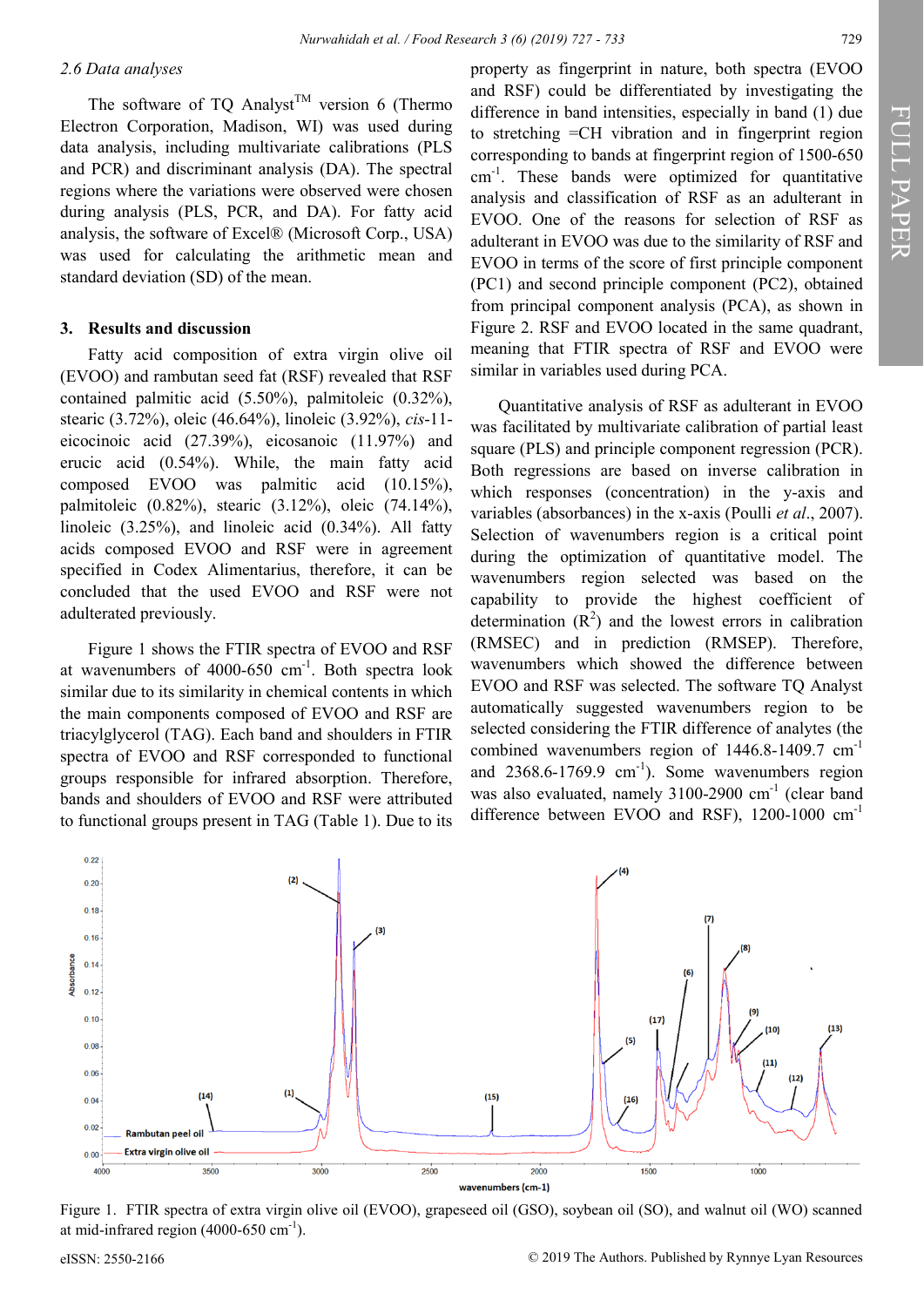#### *2.6 Data analyses*

The software of TQ Analyst<sup>TM</sup> version 6 (Thermo Electron Corporation, Madison, WI) was used during data analysis, including multivariate calibrations (PLS and PCR) and discriminant analysis (DA). The spectral regions where the variations were observed were chosen during analysis (PLS, PCR, and DA). For fatty acid analysis, the software of Excel® (Microsoft Corp., USA) was used for calculating the arithmetic mean and standard deviation (SD) of the mean.

#### **3. Results and discussion**

Fatty acid composition of extra virgin olive oil (EVOO) and rambutan seed fat (RSF) revealed that RSF contained palmitic acid (5.50%), palmitoleic (0.32%), stearic (3.72%), oleic (46.64%), linoleic (3.92%), *cis*-11 eicocinoic acid (27.39%), eicosanoic (11.97%) and erucic acid (0.54%). While, the main fatty acid composed EVOO was palmitic acid (10.15%), palmitoleic (0.82%), stearic (3.12%), oleic (74.14%), linoleic (3.25%), and linoleic acid (0.34%). All fatty acids composed EVOO and RSF were in agreement specified in Codex Alimentarius, therefore, it can be concluded that the used EVOO and RSF were not adulterated previously.

Figure 1 shows the FTIR spectra of EVOO and RSF at wavenumbers of  $4000-650$  cm<sup>-1</sup>. Both spectra look similar due to its similarity in chemical contents in which the main components composed of EVOO and RSF are triacylglycerol (TAG). Each band and shoulders in FTIR spectra of EVOO and RSF corresponded to functional groups responsible for infrared absorption. Therefore, bands and shoulders of EVOO and RSF were attributed to functional groups present in TAG (Table 1). Due to its

property as fingerprint in nature, both spectra (EVOO and RSF) could be differentiated by investigating the difference in band intensities, especially in band (1) due to stretching =CH vibration and in fingerprint region corresponding to bands at fingerprint region of 1500-650 cm-<sup>1</sup> . These bands were optimized for quantitative analysis and classification of RSF as an adulterant in EVOO. One of the reasons for selection of RSF as adulterant in EVOO was due to the similarity of RSF and EVOO in terms of the score of first principle component (PC1) and second principle component (PC2), obtained from principal component analysis (PCA), as shown in Figure 2. RSF and EVOO located in the same quadrant, meaning that FTIR spectra of RSF and EVOO were similar in variables used during PCA.

Quantitative analysis of RSF as adulterant in EVOO was facilitated by multivariate calibration of partial least square (PLS) and principle component regression (PCR). Both regressions are based on inverse calibration in which responses (concentration) in the y-axis and variables (absorbances) in the x-axis (Poulli *et al*., 2007). Selection of wavenumbers region is a critical point during the optimization of quantitative model. The wavenumbers region selected was based on the capability to provide the highest coefficient of determination  $(R^2)$  and the lowest errors in calibration (RMSEC) and in prediction (RMSEP). Therefore, wavenumbers which showed the difference between EVOO and RSF was selected. The software TQ Analyst automatically suggested wavenumbers region to be selected considering the FTIR difference of analytes (the combined wavenumbers region of 1446.8-1409.7 cm<sup>-1</sup> and  $2368.6 - 1769.9$  cm<sup>-1</sup>). Some wavenumbers region was also evaluated, namely 3100-2900 cm<sup>-1</sup> (clear band difference between EVOO and RSF), 1200-1000 cm<sup>-1</sup>



Figure 1.FTIR spectra of extra virgin olive oil (EVOO), grapeseed oil (GSO), soybean oil (SO), and walnut oil (WO) scanned at mid-infrared region  $(4000-650 \text{ cm}^{-1})$ .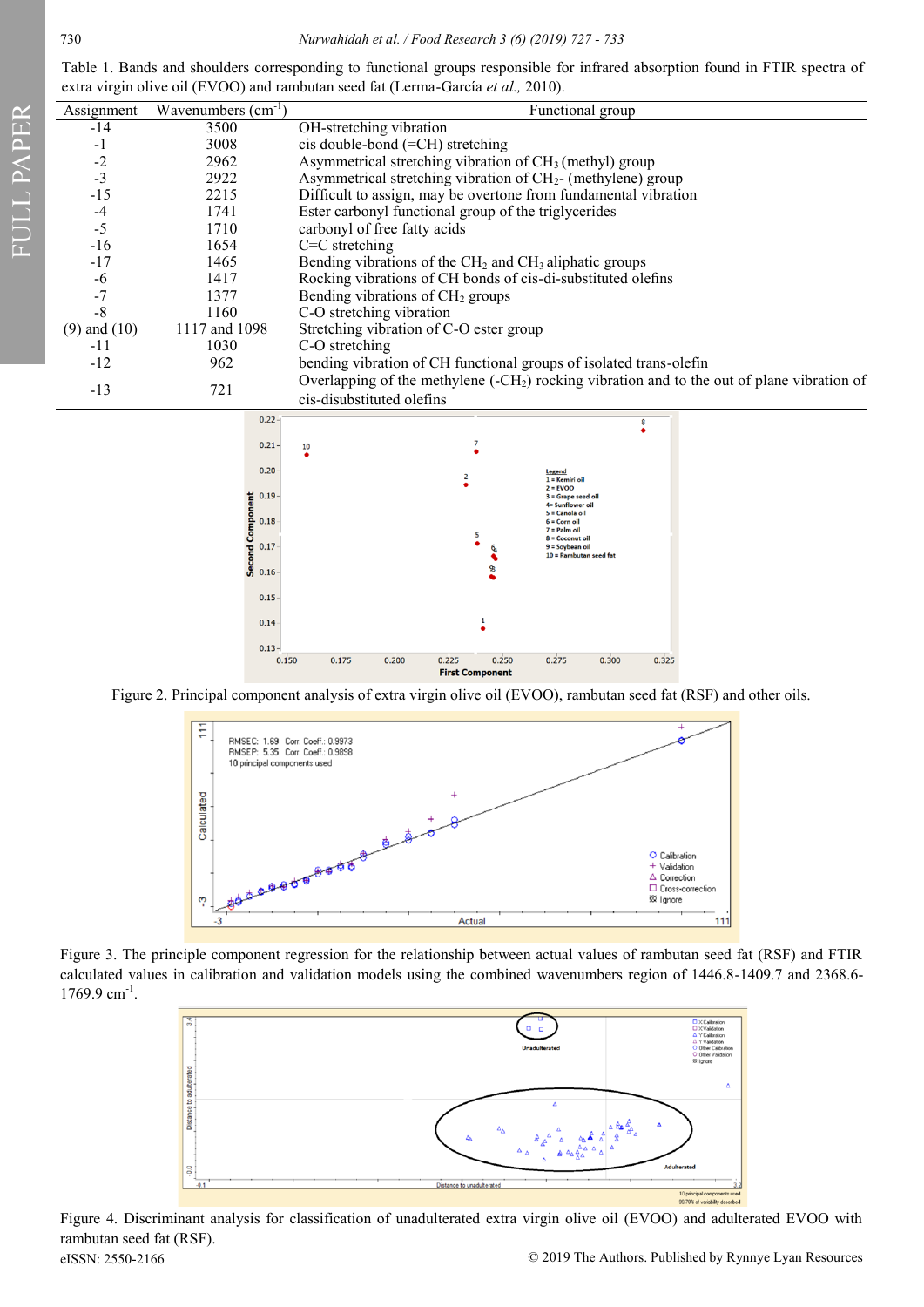FULL PAPER FULL PAPER

Table 1. Bands and shoulders corresponding to functional groups responsible for infrared absorption found in FTIR spectra of extra virgin olive oil (EVOO) and rambutan seed fat (Lerma-García *et al.,* 2010).

| Assignment       | Wavenumbers $(cm-1)$            | Functional group                                                                               |  |  |  |  |  |
|------------------|---------------------------------|------------------------------------------------------------------------------------------------|--|--|--|--|--|
| $-14$            | 3500                            | OH-stretching vibration                                                                        |  |  |  |  |  |
| -1               | 3008                            | cis double-bond (=CH) stretching                                                               |  |  |  |  |  |
| $-2$             | 2962                            | Asymmetrical stretching vibration of $CH3$ (methyl) group                                      |  |  |  |  |  |
| $-3$             | 2922                            | Asymmetrical stretching vibration of $CH2$ - (methylene) group                                 |  |  |  |  |  |
| $-15$            | 2215                            | Difficult to assign, may be overtone from fundamental vibration                                |  |  |  |  |  |
| $-4$             | 1741                            | Ester carbonyl functional group of the triglycerides                                           |  |  |  |  |  |
| $-5$             | 1710                            | carbonyl of free fatty acids                                                                   |  |  |  |  |  |
| $-16$            | 1654                            | $C=C$ stretching                                                                               |  |  |  |  |  |
| $-17$            | 1465                            | Bending vibrations of the CH <sub>2</sub> and CH <sub>3</sub> aliphatic groups                 |  |  |  |  |  |
| $-6$             | 1417                            | Rocking vibrations of CH bonds of cis-di-substituted olefins                                   |  |  |  |  |  |
| $-7$             | 1377                            | Bending vibrations of CH <sub>2</sub> groups                                                   |  |  |  |  |  |
| $-8$             | 1160                            | C-O stretching vibration                                                                       |  |  |  |  |  |
| $(9)$ and $(10)$ | 1117 and 1098                   | Stretching vibration of C-O ester group                                                        |  |  |  |  |  |
| $-11$            | 1030                            | C-O stretching                                                                                 |  |  |  |  |  |
| $-12$            | 962                             | bending vibration of CH functional groups of isolated trans-olefin                             |  |  |  |  |  |
| $-13$            | 721                             | Overlapping of the methylene ( $-CH2$ ) rocking vibration and to the out of plane vibration of |  |  |  |  |  |
|                  |                                 | cis-disubstituted olefins                                                                      |  |  |  |  |  |
|                  | $0.22 -$                        | 8                                                                                              |  |  |  |  |  |
|                  | 0.21                            | 10                                                                                             |  |  |  |  |  |
|                  |                                 |                                                                                                |  |  |  |  |  |
|                  | 0.20                            | Legend<br>2<br>$1 =$ Kemiri oil                                                                |  |  |  |  |  |
|                  | 0.19                            | $2 = EVOO$<br>$3 =$ Grape seed oil                                                             |  |  |  |  |  |
|                  |                                 | 4= Sunflower oil<br>$5 =$ Canola oil                                                           |  |  |  |  |  |
|                  | 0.18                            | $6 =$ Corn oil<br>$7 =$ Palm oil                                                               |  |  |  |  |  |
|                  | <b>Second Component</b><br>0.17 | 5<br>$8 = Coconut$ oil<br>$9 = Sovbean oil$                                                    |  |  |  |  |  |
|                  |                                 | $10 =$ Rambutan seed fat                                                                       |  |  |  |  |  |
|                  | 0.16                            |                                                                                                |  |  |  |  |  |
|                  | 0.15                            |                                                                                                |  |  |  |  |  |
|                  |                                 | 1                                                                                              |  |  |  |  |  |
|                  | 0.14                            |                                                                                                |  |  |  |  |  |

Figure 2. Principal component analysis of extra virgin olive oil (EVOO), rambutan seed fat (RSF) and other oils.

 $0.225$ **First Component** 

 $0.250$ 

 $0.275$ 

 $0.300$ 

 $0.325$ 

 $0.13 0.150$ 

 $0.175$ 

 $0.200$ 



Figure 3. The principle component regression for the relationship between actual values of rambutan seed fat (RSF) and FTIR calculated values in calibration and validation models using the combined wavenumbers region of 1446.8-1409.7 and 2368.6-  $1769.9$  cm<sup>-1</sup>.



eISSN: 2550-2166 © 2019 The Authors. Published by Rynnye Lyan Resources Figure 4. Discriminant analysis for classification of unadulterated extra virgin olive oil (EVOO) and adulterated EVOO with rambutan seed fat (RSF).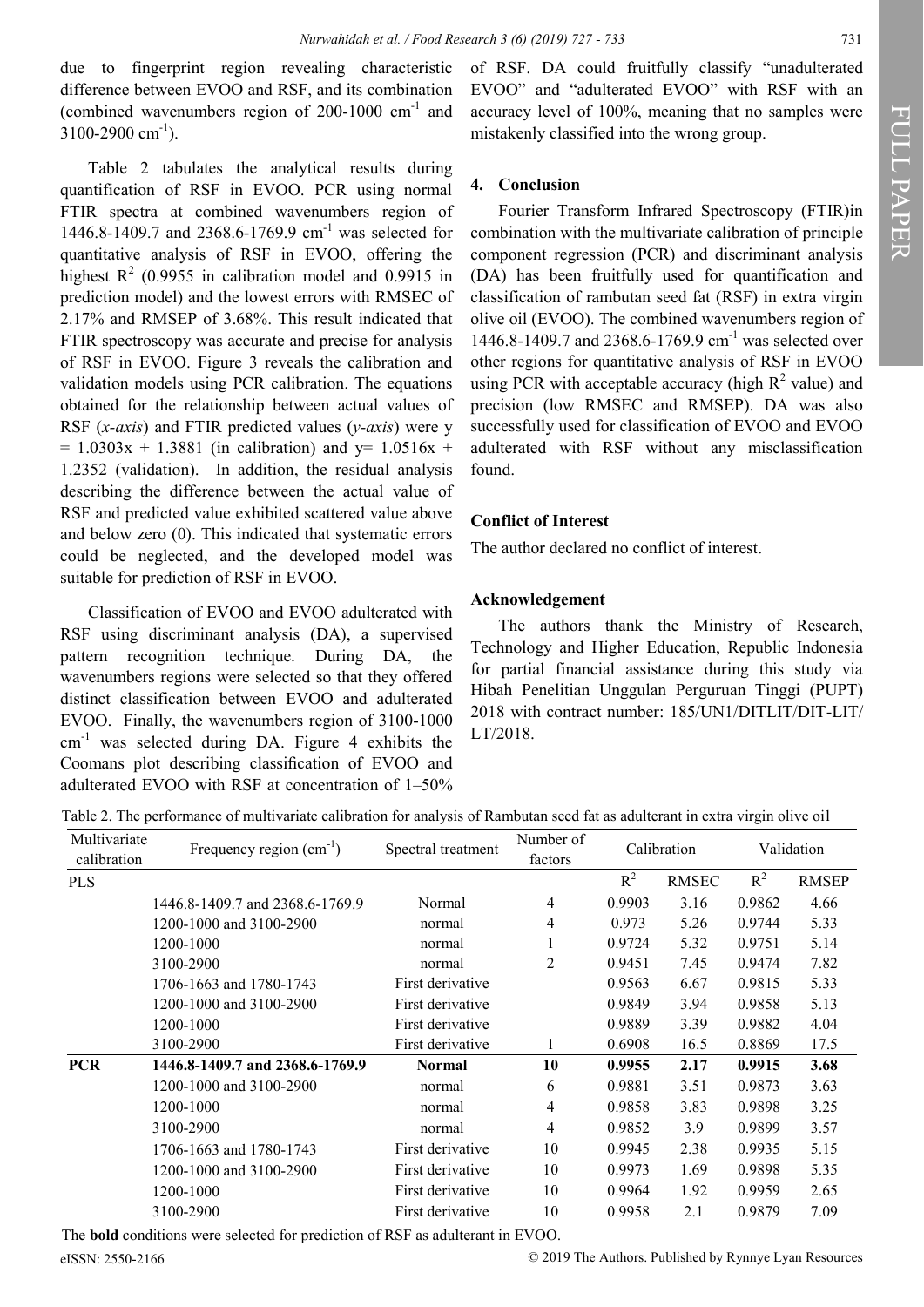due to fingerprint region revealing characteristic difference between EVOO and RSF, and its combination (combined wavenumbers region of  $200-1000$  cm<sup>-1</sup> and  $3100 - 2900$  cm<sup>-1</sup>).

Table 2 tabulates the analytical results during quantification of RSF in EVOO. PCR using normal FTIR spectra at combined wavenumbers region of 1446.8-1409.7 and 2368.6-1769.9 cm-<sup>1</sup> was selected for quantitative analysis of RSF in EVOO, offering the highest  $R^2$  (0.9955 in calibration model and 0.9915 in prediction model) and the lowest errors with RMSEC of 2.17% and RMSEP of 3.68%. This result indicated that FTIR spectroscopy was accurate and precise for analysis of RSF in EVOO. Figure 3 reveals the calibration and validation models using PCR calibration. The equations obtained for the relationship between actual values of RSF (*x-axis*) and FTIR predicted values (*y-axis*) were y  $= 1.0303x + 1.3881$  (in calibration) and y= 1.0516x + 1.2352 (validation). In addition, the residual analysis describing the difference between the actual value of RSF and predicted value exhibited scattered value above and below zero (0). This indicated that systematic errors could be neglected, and the developed model was suitable for prediction of RSF in EVOO.

Classification of EVOO and EVOO adulterated with RSF using discriminant analysis (DA), a supervised pattern recognition technique. During DA, the wavenumbers regions were selected so that they offered distinct classification between EVOO and adulterated EVOO. Finally, the wavenumbers region of 3100-1000  $cm<sup>-1</sup>$  was selected during DA. Figure 4 exhibits the Coomans plot describing classification of EVOO and adulterated EVOO with RSF at concentration of 1–50%

of RSF. DA could fruitfully classify "unadulterated EVOO" and "adulterated EVOO" with RSF with an accuracy level of 100%, meaning that no samples were mistakenly classified into the wrong group.

#### **4. Conclusion**

Fourier Transform Infrared Spectroscopy (FTIR)in combination with the multivariate calibration of principle component regression (PCR) and discriminant analysis (DA) has been fruitfully used for quantification and classification of rambutan seed fat (RSF) in extra virgin olive oil (EVOO). The combined wavenumbers region of 1446.8-1409.7 and 2368.6-1769.9 cm<sup>-1</sup> was selected over other regions for quantitative analysis of RSF in EVOO using PCR with acceptable accuracy (high  $R^2$  value) and precision (low RMSEC and RMSEP). DA was also successfully used for classification of EVOO and EVOO adulterated with RSF without any misclassification found.

#### **Conflict of Interest**

The author declared no conflict of interest.

#### **Acknowledgement**

The authors thank the Ministry of Research, Technology and Higher Education, Republic Indonesia for partial financial assistance during this study via Hibah Penelitian Unggulan Perguruan Tinggi (PUPT) 2018 with contract number: 185/UN1/DITLIT/DIT-LIT/ LT/2018.

Table 2. The performance of multivariate calibration for analysis of Rambutan seed fat as adulterant in extra virgin olive oil

| Multivariate<br>calibration | Frequency region $(cm^{-1})$    | Spectral treatment | Number of<br>factors | Calibration |              | Validation |              |
|-----------------------------|---------------------------------|--------------------|----------------------|-------------|--------------|------------|--------------|
| <b>PLS</b>                  |                                 |                    |                      | $R^2$       | <b>RMSEC</b> | $R^2$      | <b>RMSEP</b> |
|                             | 1446.8-1409.7 and 2368.6-1769.9 | Normal             | $\overline{4}$       | 0.9903      | 3.16         | 0.9862     | 4.66         |
|                             | 1200-1000 and 3100-2900         | normal             | 4                    | 0.973       | 5.26         | 0.9744     | 5.33         |
|                             | 1200-1000                       | normal             |                      | 0.9724      | 5.32         | 0.9751     | 5.14         |
| 3100-2900                   |                                 | normal             | 2                    | 0.9451      | 7.45         | 0.9474     | 7.82         |
|                             | 1706-1663 and 1780-1743         | First derivative   |                      | 0.9563      | 6.67         | 0.9815     | 5.33         |
|                             | 1200-1000 and 3100-2900         | First derivative   |                      | 0.9849      | 3.94         | 0.9858     | 5.13         |
|                             | 1200-1000                       | First derivative   |                      | 0.9889      | 3.39         | 0.9882     | 4.04         |
|                             | 3100-2900                       | First derivative   | 1                    | 0.6908      | 16.5         | 0.8869     | 17.5         |
| <b>PCR</b>                  | 1446.8-1409.7 and 2368.6-1769.9 | <b>Normal</b>      | 10                   | 0.9955      | 2.17         | 0.9915     | 3.68         |
|                             | 1200-1000 and 3100-2900         | normal             | 6                    | 0.9881      | 3.51         | 0.9873     | 3.63         |
|                             | 1200-1000                       | normal             | 4                    | 0.9858      | 3.83         | 0.9898     | 3.25         |
|                             | 3100-2900                       | normal             | 4                    | 0.9852      | 3.9          | 0.9899     | 3.57         |
|                             | 1706-1663 and 1780-1743         | First derivative   | 10                   | 0.9945      | 2.38         | 0.9935     | 5.15         |
|                             | 1200-1000 and 3100-2900         | First derivative   | 10                   | 0.9973      | 1.69         | 0.9898     | 5.35         |
|                             | 1200-1000                       | First derivative   | 10                   | 0.9964      | 1.92         | 0.9959     | 2.65         |
|                             | 3100-2900                       | First derivative   | 10                   | 0.9958      | 2.1          | 0.9879     | 7.09         |

The **bold** conditions were selected for prediction of RSF as adulterant in EVOO.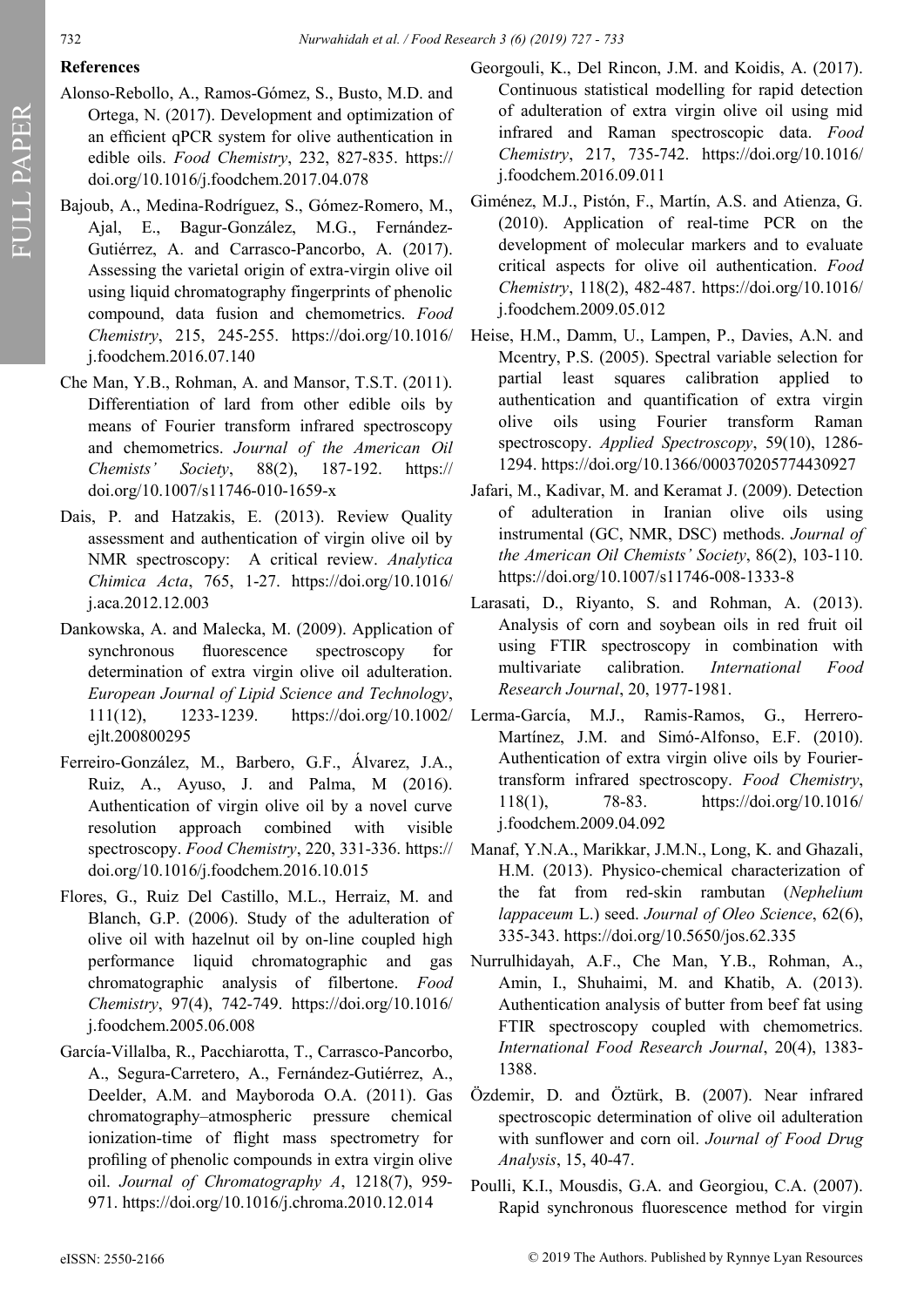## **References**

- Alonso-Rebollo, A., Ramos-Gómez, S., Busto, M.D. and Ortega, N. (2017). Development and optimization of an efficient qPCR system for olive authentication in edible oils. *Food Chemistry*, 232, 827-835. [https://](https://doi.org/10.1016/j.foodchem.2017.04.078) [doi.org/10.1016/j.foodchem.2017.04.078](https://doi.org/10.1016/j.foodchem.2017.04.078)
- Bajoub, A., Medina-Rodríguez, S., Gómez-Romero, M., Ajal, E., Bagur-González, M.G., Fernández-Gutiérrez, A. and Carrasco-Pancorbo, A. (2017). Assessing the varietal origin of extra-virgin olive oil using liquid chromatography fingerprints of phenolic compound, data fusion and chemometrics. *Food Chemistry*, 215, 245-255. [https://doi.org/10.1016/](https://doi.org/10.1016/j.foodchem.2016.07.140) [j.foodchem.2016.07.140](https://doi.org/10.1016/j.foodchem.2016.07.140)
- Che Man, Y.B., Rohman, A. and Mansor, T.S.T. (2011). Differentiation of lard from other edible oils by means of Fourier transform infrared spectroscopy and chemometrics. *Journal of the American Oil Chemists' Society*, 88(2), 187-192. [https://](https://doi.org/10.1007/s11746-010-1659-x) [doi.org/10.1007/s11746](https://doi.org/10.1007/s11746-010-1659-x)-010-1659-x
- Dais, P. and Hatzakis, E. (2013). Review Quality assessment and authentication of virgin olive oil by NMR spectroscopy: A critical review. *Analytica Chimica Acta*, 765, 1-27. [https://doi.org/10.1016/](https://doi.org/10.1016/j.aca.2012.12.003) [j.aca.2012.12.003](https://doi.org/10.1016/j.aca.2012.12.003)
- Dankowska, A. and Malecka, M. (2009). Application of synchronous fluorescence spectroscopy for determination of extra virgin olive oil adulteration. *European Journal of Lipid Science and Technology*, 111(12), 1233-1239. [https://doi.org/10.1002/](https://doi.org/10.1002/ejlt.200800295) [ejlt.200800295](https://doi.org/10.1002/ejlt.200800295)
- Ferreiro-González, M., Barbero, G.F., Álvarez, J.A., Ruiz, A., Ayuso, J. and Palma, M (2016). Authentication of virgin olive oil by a novel curve resolution approach combined with visible spectroscopy. *Food Chemistry*, 220, 331-336. [https://](https://doi.org/10.1016/j.foodchem.2016.10.015) [doi.org/10.1016/j.foodchem.2016.10.015](https://doi.org/10.1016/j.foodchem.2016.10.015)
- [Flores, G.,](http://www.scopus.com/search/submit/author.url?author=Flores%2c+G.&origin=resultslist&authorId=10139658700&src=s) [Ruiz Del Castillo,](http://www.scopus.com/search/submit/author.url?author=Ruiz+Del+Castillo%2c+M.L.&origin=resultslist&authorId=6701784830&src=s) M.L., Herraiz, M. and [Blanch,](http://www.scopus.com/search/submit/author.url?author=Blanch%2c+G.P.&origin=resultslist&authorId=7004443482&src=s) G.P. (2006). Study of the adulteration of olive oil with hazelnut oil by on-line coupled high performance liquid chromatographic and gas chromatographic analysis of filbertone. *Food Chemistry*, 97(4), 742-749. [https://doi.org/10.1016/](https://doi.org/10.1016/j.foodchem.2005.06.008) [j.foodchem.2005.06.008](https://doi.org/10.1016/j.foodchem.2005.06.008)
- García-Villalba, R., Pacchiarotta, T., Carrasco-Pancorbo, A., Segura-Carretero, A., Fernández-Gutiérrez, A., Deelder, A.M. and Mayboroda O.A. (2011). Gas chromatography–atmospheric pressure chemical ionization-time of flight mass spectrometry for profiling of phenolic compounds in extra virgin olive oil. *Journal of Chromatography A*, 1218(7), 959- 971. <https://doi.org/10.1016/j.chroma.2010.12.014>
- Georgouli, K., Del Rincon, J.M. and Koidis, A. (2017). Continuous statistical modelling for rapid detection of adulteration of extra virgin olive oil using mid infrared and Raman spectroscopic data. *Food Chemistry*, 217, 735-742. [https://doi.org/10.1016/](https://doi.org/10.1016/j.foodchem.2016.09.011) [j.foodchem.2016.09.011](https://doi.org/10.1016/j.foodchem.2016.09.011)
- Giménez, M.J., Pistón, F., Martín, A.S. and Atienza, G. (2010). Application of real-time PCR on the development of molecular markers and to evaluate critical aspects for olive oil authentication. *Food Chemistry*, 118(2), 482-487. [https://doi.org/10.1016/](https://doi.org/10.1016/j.foodchem.2009.05.012) [j.foodchem.2009.05.012](https://doi.org/10.1016/j.foodchem.2009.05.012)
- [Heise, H.M.,](http://www.scopus.com/search/submit/author.url?author=Heise%2c+H.M.&origin=resultslist&authorId=7102117095&src=s) Damm, U., [Lampen, P.,](http://www.scopus.com/search/submit/author.url?author=Lampen%2c+P.&origin=resultslist&authorId=6603575293&src=s) [Davies,](http://www.scopus.com/search/submit/author.url?author=Davies%2c+A.N.&origin=resultslist&authorId=7403657673&src=s) A.N. and Mcentry, P.S. (2005). Spectral variable selection for partial least squares calibration applied to authentication and quantification of extra virgin olive oils using Fourier transform Raman spectroscopy. *Applied Spectroscopy*, 59(10), 1286- 1294. <https://doi.org/10.1366/000370205774430927>
- [Jafari, M.](http://www.scopus.com/search/submit/author.url?author=Jafari%2c+M.&origin=resultslist&authorId=7006582831&src=s), [Kadivar, M. and K](http://www.scopus.com/search/submit/author.url?author=Kadivar%2c+M.&origin=resultslist&authorId=8866764400&src=s)[eramat J. \(](http://www.scopus.com/search/submit/author.url?author=Keramat%2c+J.&origin=resultslist&authorId=14058163200&src=s)2009). Detection of adulteration in Iranian olive oils using instrumental (GC, NMR, DSC) methods. *Journal of the American Oil Chemists' Society*, 86(2), 103-110. [https://doi.org/10.1007/s11746](https://doi.org/10.1007/s11746-008-1333-8)-008-1333-8
- Larasati, D., Riyanto, S. and Rohman, A. (2013). Analysis of corn and soybean oils in red fruit oil using FTIR spectroscopy in combination with multivariate calibration. *International Food Research Journal*, 20, 1977-1981.
- Lerma-García, M.J., Ramis-Ramos, G., Herrero-Martínez, J.M. and Simó-Alfonso, E.F. (2010). Authentication of extra virgin olive oils by Fouriertransform infrared spectroscopy. *Food Chemistry*, 118(1), 78-83. [https://doi.org/10.1016/](https://doi.org/10.1016/j.foodchem.2009.04.092) [j.foodchem.2009.04.092](https://doi.org/10.1016/j.foodchem.2009.04.092)
- Manaf, Y.N.A., Marikkar, J.M.N., Long, K. and Ghazali, H.M. (2013). Physico-chemical characterization of the fat from red-skin rambutan (*Nephelium lappaceum* L.) seed. *Journal of Oleo Science*, 62(6), 335-343. <https://doi.org/10.5650/jos.62.335>
- Nurrulhidayah, A.F., Che Man, Y.B., Rohman, A., Amin, I., Shuhaimi, M. and Khatib, A. (2013). Authentication analysis of butter from beef fat using FTIR spectroscopy coupled with chemometrics. *International Food Research Journal*, 20(4), 1383- 1388.
- Özdemir, D. and [Öztürk,](http://www.scopus.com/search/submit/author.url?author=%c3%96zt%c3%bcrk%2c+B.&authorId=7006498412&origin=recordpage) B. (2007). Near infrared spectroscopic determination of olive oil adulteration with sunflower and corn oil. *Journal of Food Drug Analysis*, 15, 40-47.
- Poulli, K.I., Mousdis, G.A. and Georgiou, C.A. (2007). Rapid synchronous fluorescence method for virgin